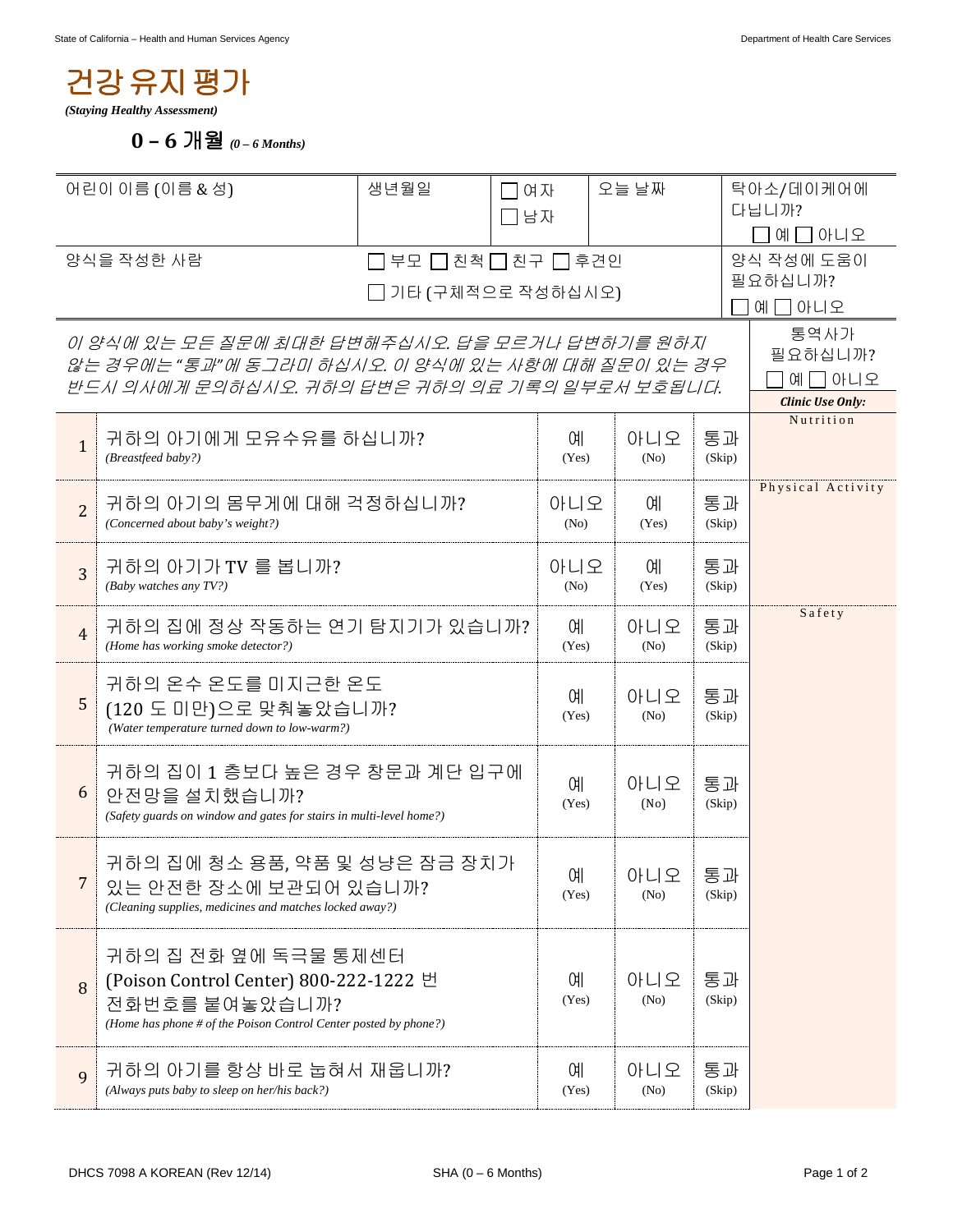## 건강유지평가

*(Staying Healthy Assessment)*

**0 – 6** 개월 *(0 – 6 Months)*

| 어린이 이름 (이름 & 성)                                                                                                                                         |                                                                                                                                                      | 생년월일       | ヿ여자<br>コ남자  |              | 자닉 글오              |              | 탁아소/데이케어에<br>다닙니까?                                    |  |
|---------------------------------------------------------------------------------------------------------------------------------------------------------|------------------------------------------------------------------------------------------------------------------------------------------------------|------------|-------------|--------------|--------------------|--------------|-------------------------------------------------------|--|
| 양식을 작성한 사람<br>부모 □ 친척 □ 친구 □ 후견인<br>기타 (구체적으로 작성하십시오)                                                                                                   |                                                                                                                                                      |            |             |              |                    |              | 예囗아니오<br>양식 작성에 도움이<br>필요하십니까?<br>그아니오<br>Q           |  |
| 이 양식에 있는 모든 질문에 최대한 답변해주십시오. 답을 모르거나 답변하기를 원하지<br>않는 경우에는 "통과"에 동그라미 하십시오. 이 양식에 있는 사항에 대해 질문이 있는 경우<br>반드시 의사에게 문의하십시오. 귀하의 답변은 귀하의 의료 기록의 일부로서 보호됩니다. |                                                                                                                                                      |            |             |              |                    |              | 통역사가<br>필요하십니까?<br>예 囗 아니오<br><b>Clinic Use Only:</b> |  |
| $\mathbf{1}$                                                                                                                                            | 귀하의 아기에게 모유수유를 하십니까?<br>(Breastfeed baby?)                                                                                                           |            |             |              | 아니오<br>(No)        | 통과<br>(Skip) | Nutrition                                             |  |
| $\overline{2}$                                                                                                                                          | 귀하의 아기의 몸무게에 대해 걱정하십니까?<br>(Concerned about baby's weight?)                                                                                          |            |             |              | 아니오<br>ΟH<br>(Yes) | 통과<br>(Skip) | Physical Activity                                     |  |
| $\overline{3}$                                                                                                                                          | 귀하의 아기가 TV 를 봅니까?<br>(Baby watches any TV?)                                                                                                          |            |             |              | 아니오<br>ΟH<br>(Yes) | 통과<br>(Skip) |                                                       |  |
| $\overline{4}$                                                                                                                                          | 귀하의 집에 정상 작동하는 연기 탐지기가 있습니까?<br>(Home has working smoke detector?)                                                                                   |            |             | ΟH<br>(Yes)  | 아니오<br>(No)        | 통과<br>(Skip) | Safety                                                |  |
| 5                                                                                                                                                       | 귀하의 온수 온도를 미지근한 온도<br>(120 도 미만)으로 맞춰놓았습니까?<br>(Water temperature turned down to low-warm?)                                                          |            |             |              | 아니오<br>(No)        | 통과<br>(Skip) |                                                       |  |
| 6                                                                                                                                                       | 귀하의 집이 1 층보다 높은 경우 창문과 계단 입구에<br>안전망을 설치했습니까?<br>(Safety guards on window and gates for stairs in multi-level home?)                                 |            |             |              | 아니오<br>(No)        | 통과<br>(Skip) |                                                       |  |
| 7                                                                                                                                                       | 귀하의 집에 청소 용품, 약품 및 성냥은 잠금 장치가<br>있는 안전한 장소에 보관되어 있습니까?<br>(Cleaning supplies, medicines and matches locked away?)                                    |            |             | 예<br>(Yes)   | 아니오<br>(No)        | 통과<br>(Skip) |                                                       |  |
| 8                                                                                                                                                       | 귀하의 집 전화 옆에 독극물 통제센터<br>(Poison Control Center) 800-222-1222 번<br>전화번호를 붙여놓았습니까?<br>(Home has phone # of the Poison Control Center posted by phone?) |            |             | 예<br>(Yes)   | 아니오<br>(No)        | 통과<br>(Skip) |                                                       |  |
| 9                                                                                                                                                       | 귀하의 아기를 항상 바로 눕혀서 재웁니까?<br>(Always puts baby to sleep on her/his back?)                                                                              | 예<br>(Yes) | 아니오<br>(No) | 통과<br>(Skip) |                    |              |                                                       |  |